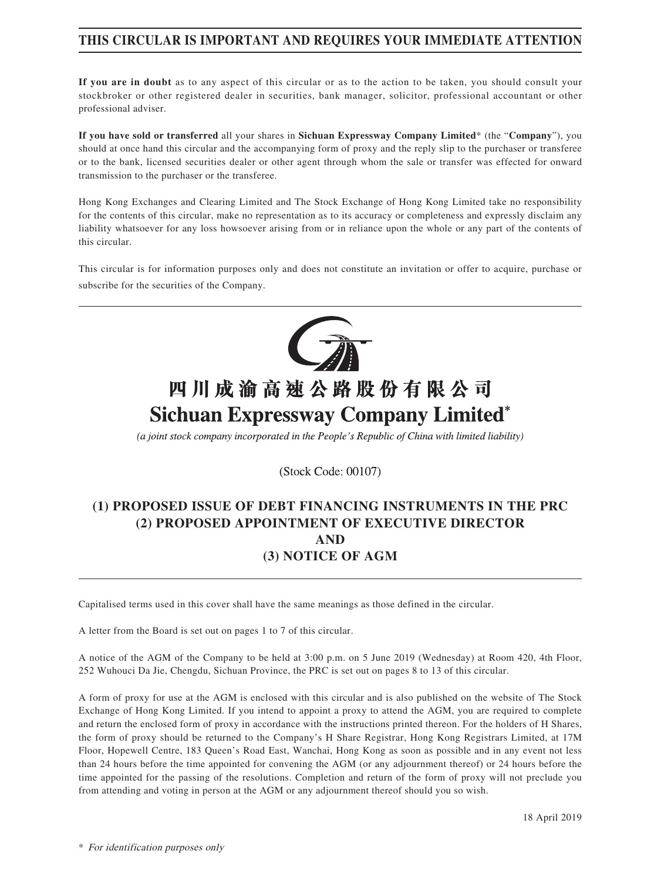### **THIS CIRCULAR IS IMPORTANT AND REQUIRES YOUR IMMEDIATE ATTENTION**

**If you are in doubt** as to any aspect of this circular or as to the action to be taken, you should consult your stockbroker or other registered dealer in securities, bank manager, solicitor, professional accountant or other professional adviser.

**If you have sold or transferred** all your shares in **Sichuan Expressway Company Limited**\* (the "**Company**"), you should at once hand this circular and the accompanying form of proxy and the reply slip to the purchaser or transferee or to the bank, licensed securities dealer or other agent through whom the sale or transfer was effected for onward transmission to the purchaser or the transferee.

Hong Kong Exchanges and Clearing Limited and The Stock Exchange of Hong Kong Limited take no responsibility for the contents of this circular, make no representation as to its accuracy or completeness and expressly disclaim any liability whatsoever for any loss howsoever arising from or in reliance upon the whole or any part of the contents of this circular.

This circular is for information purposes only and does not constitute an invitation or offer to acquire, purchase or subscribe for the securities of the Company.



# 四川成渝高速公路股份有限公司 **Sichuan Expressway Company Limited\***

(a joint stock company incorporated in the People's Republic of China with limited liability)

(Stock Code: 00107)

### **(1) PROPOSED ISSUE OF DEBT FINANCING INSTRUMENTS IN THE PRC (2) PROPOSED APPOINTMENT OF EXECUTIVE DIRECTOR AND (3) NOTICE OF AGM**

Capitalised terms used in this cover shall have the same meanings as those defined in the circular.

A letter from the Board is set out on pages 1 to 7 of this circular.

A notice of the AGM of the Company to be held at 3:00 p.m. on 5 June 2019 (Wednesday) at Room 420, 4th Floor, 252 Wuhouci Da Jie, Chengdu, Sichuan Province, the PRC is set out on pages 8 to 13 of this circular.

A form of proxy for use at the AGM is enclosed with this circular and is also published on the website of The Stock Exchange of Hong Kong Limited. If you intend to appoint a proxy to attend the AGM, you are required to complete and return the enclosed form of proxy in accordance with the instructions printed thereon. For the holders of H Shares, the form of proxy should be returned to the Company's H Share Registrar, Hong Kong Registrars Limited, at 17M Floor, Hopewell Centre, 183 Queen's Road East, Wanchai, Hong Kong as soon as possible and in any event not less than 24 hours before the time appointed for convening the AGM (or any adjournment thereof) or 24 hours before the time appointed for the passing of the resolutions. Completion and return of the form of proxy will not preclude you from attending and voting in person at the AGM or any adjournment thereof should you so wish.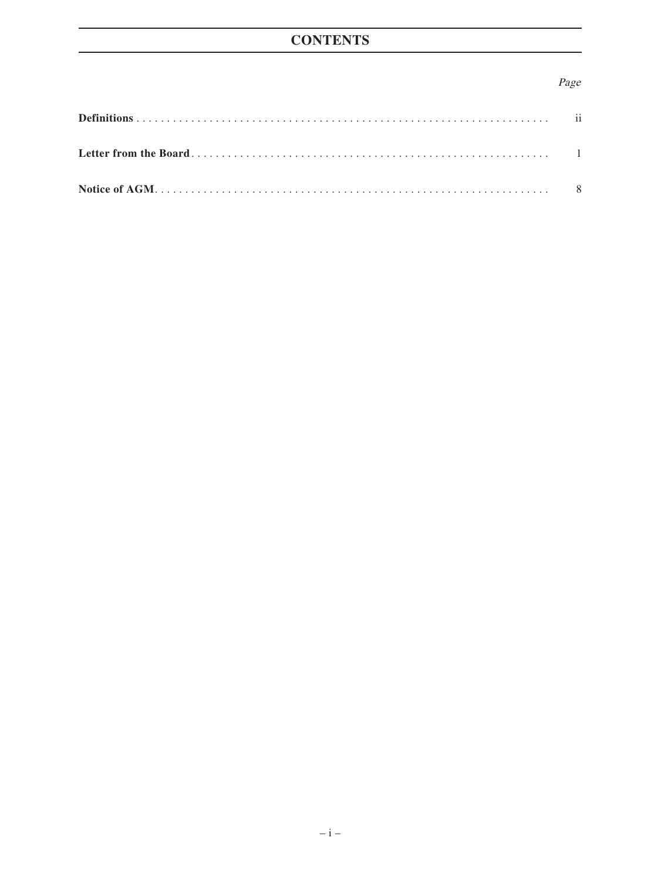### Page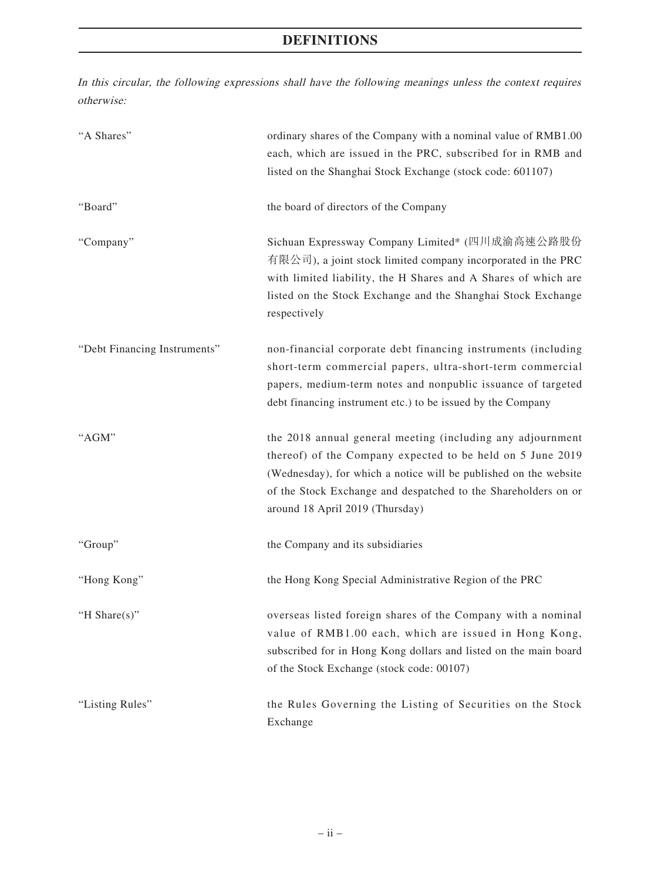# **DEFINITIONS**

In this circular, the following expressions shall have the following meanings unless the context requires otherwise:

| "A Shares"                   | ordinary shares of the Company with a nominal value of RMB1.00<br>each, which are issued in the PRC, subscribed for in RMB and<br>listed on the Shanghai Stock Exchange (stock code: 601107)                                                                                                      |
|------------------------------|---------------------------------------------------------------------------------------------------------------------------------------------------------------------------------------------------------------------------------------------------------------------------------------------------|
| "Board"                      | the board of directors of the Company                                                                                                                                                                                                                                                             |
| "Company"                    | Sichuan Expressway Company Limited* (四川成渝高速公路股份<br>有限公司), a joint stock limited company incorporated in the PRC<br>with limited liability, the H Shares and A Shares of which are<br>listed on the Stock Exchange and the Shanghai Stock Exchange<br>respectively                                 |
| "Debt Financing Instruments" | non-financial corporate debt financing instruments (including<br>short-term commercial papers, ultra-short-term commercial<br>papers, medium-term notes and nonpublic issuance of targeted<br>debt financing instrument etc.) to be issued by the Company                                         |
| "AGM"                        | the 2018 annual general meeting (including any adjournment<br>thereof) of the Company expected to be held on 5 June 2019<br>(Wednesday), for which a notice will be published on the website<br>of the Stock Exchange and despatched to the Shareholders on or<br>around 18 April 2019 (Thursday) |
| "Group"                      | the Company and its subsidiaries                                                                                                                                                                                                                                                                  |
| "Hong Kong"                  | the Hong Kong Special Administrative Region of the PRC                                                                                                                                                                                                                                            |
| "H Share(s)"                 | overseas listed foreign shares of the Company with a nominal<br>value of RMB1.00 each, which are issued in Hong Kong,<br>subscribed for in Hong Kong dollars and listed on the main board<br>of the Stock Exchange (stock code: 00107)                                                            |
| "Listing Rules"              | the Rules Governing the Listing of Securities on the Stock<br>Exchange                                                                                                                                                                                                                            |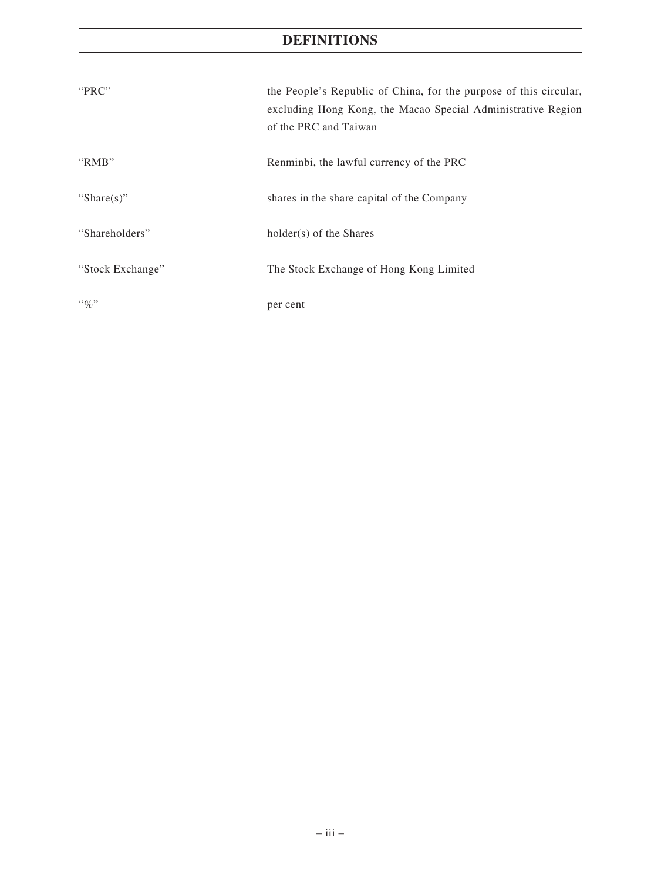## **DEFINITIONS**

| "PRC"            | the People's Republic of China, for the purpose of this circular,<br>excluding Hong Kong, the Macao Special Administrative Region<br>of the PRC and Taiwan |
|------------------|------------------------------------------------------------------------------------------------------------------------------------------------------------|
| "RMB"            | Renminbi, the lawful currency of the PRC                                                                                                                   |
| "Share $(s)$ "   | shares in the share capital of the Company                                                                                                                 |
| "Shareholders"   | holder(s) of the Shares                                                                                                                                    |
| "Stock Exchange" | The Stock Exchange of Hong Kong Limited                                                                                                                    |
| $\lq\lq q_0$ "   | per cent                                                                                                                                                   |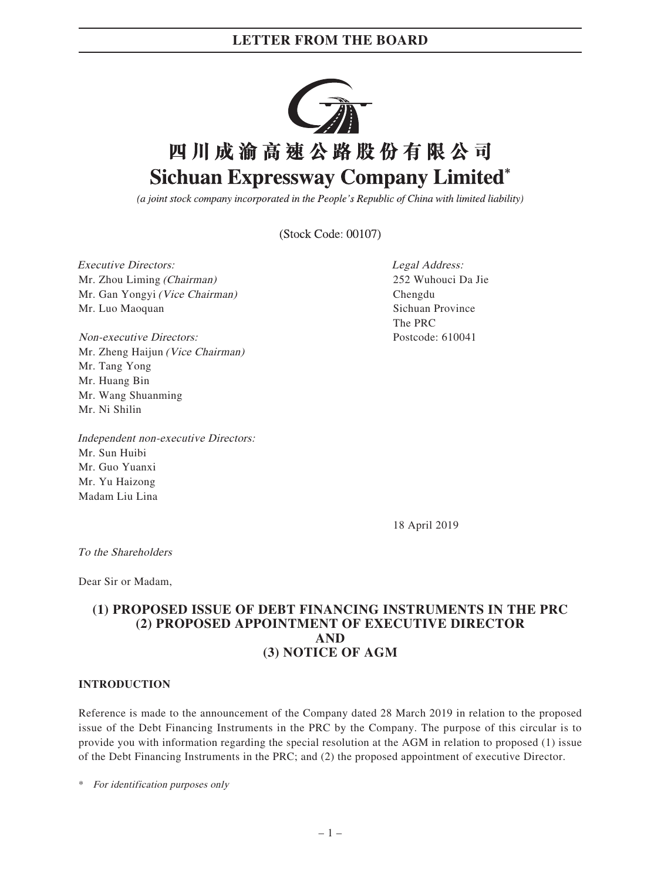

(a joint stock company incorporated in the People's Republic of China with limited liability)

(Stock Code: 00107)

Executive Directors: Mr. Zhou Liming (Chairman) Mr. Gan Yongyi (Vice Chairman) Mr. Luo Maoquan

Non-executive Directors: Mr. Zheng Haijun (Vice Chairman) Mr. Tang Yong Mr. Huang Bin Mr. Wang Shuanming Mr. Ni Shilin

Independent non-executive Directors: Mr. Sun Huibi Mr. Guo Yuanxi Mr. Yu Haizong Madam Liu Lina

Legal Address: 252 Wuhouci Da Jie Chengdu Sichuan Province The PRC Postcode: 610041

18 April 2019

To the Shareholders

Dear Sir or Madam,

### **(1) PROPOSED ISSUE OF DEBT FINANCING INSTRUMENTS IN THE PRC (2) PROPOSED APPOINTMENT OF EXECUTIVE DIRECTOR AND (3) NOTICE OF AGM**

#### **INTRODUCTION**

Reference is made to the announcement of the Company dated 28 March 2019 in relation to the proposed issue of the Debt Financing Instruments in the PRC by the Company. The purpose of this circular is to provide you with information regarding the special resolution at the AGM in relation to proposed (1) issue of the Debt Financing Instruments in the PRC; and (2) the proposed appointment of executive Director.

\* For identification purposes only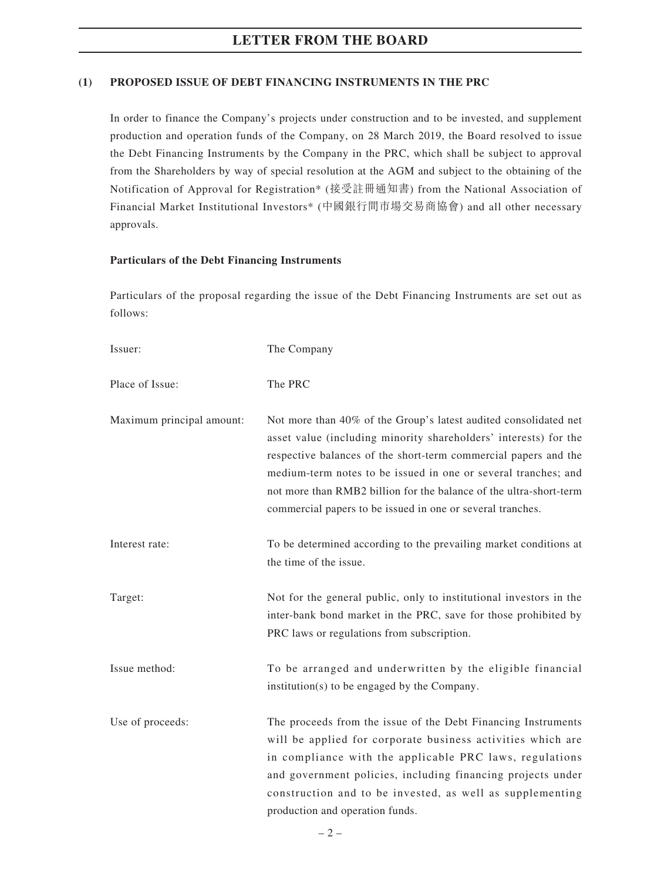#### **(1) PROPOSED ISSUE OF DEBT FINANCING INSTRUMENTS IN THE PRC**

In order to finance the Company's projects under construction and to be invested, and supplement production and operation funds of the Company, on 28 March 2019, the Board resolved to issue the Debt Financing Instruments by the Company in the PRC, which shall be subject to approval from the Shareholders by way of special resolution at the AGM and subject to the obtaining of the Notification of Approval for Registration\* (接受註冊通知書) from the National Association of Financial Market Institutional Investors\* (中國銀行間市場交易商協會) and all other necessary approvals.

#### **Particulars of the Debt Financing Instruments**

Particulars of the proposal regarding the issue of the Debt Financing Instruments are set out as follows:

| Issuer:                   | The Company                                                                                                                                                                                                                                                                                                                                                                                                   |
|---------------------------|---------------------------------------------------------------------------------------------------------------------------------------------------------------------------------------------------------------------------------------------------------------------------------------------------------------------------------------------------------------------------------------------------------------|
| Place of Issue:           | The PRC                                                                                                                                                                                                                                                                                                                                                                                                       |
| Maximum principal amount: | Not more than 40% of the Group's latest audited consolidated net<br>asset value (including minority shareholders' interests) for the<br>respective balances of the short-term commercial papers and the<br>medium-term notes to be issued in one or several tranches; and<br>not more than RMB2 billion for the balance of the ultra-short-term<br>commercial papers to be issued in one or several tranches. |
| Interest rate:            | To be determined according to the prevailing market conditions at<br>the time of the issue.                                                                                                                                                                                                                                                                                                                   |
| Target:                   | Not for the general public, only to institutional investors in the<br>inter-bank bond market in the PRC, save for those prohibited by<br>PRC laws or regulations from subscription.                                                                                                                                                                                                                           |
| Issue method:             | To be arranged and underwritten by the eligible financial<br>institution(s) to be engaged by the Company.                                                                                                                                                                                                                                                                                                     |
| Use of proceeds:          | The proceeds from the issue of the Debt Financing Instruments<br>will be applied for corporate business activities which are<br>in compliance with the applicable PRC laws, regulations<br>and government policies, including financing projects under<br>construction and to be invested, as well as supplementing<br>production and operation funds.                                                        |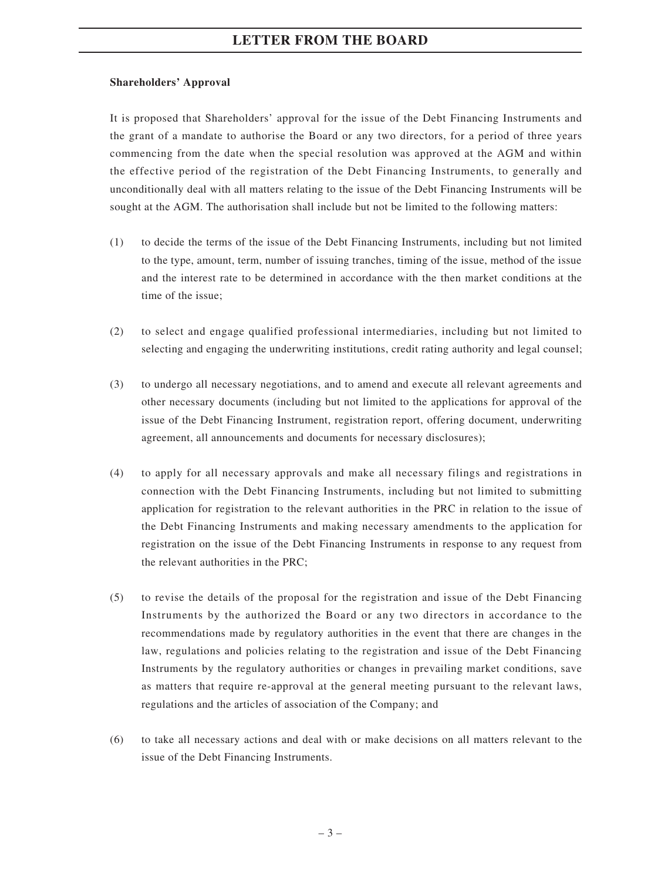#### **Shareholders' Approval**

It is proposed that Shareholders' approval for the issue of the Debt Financing Instruments and the grant of a mandate to authorise the Board or any two directors, for a period of three years commencing from the date when the special resolution was approved at the AGM and within the effective period of the registration of the Debt Financing Instruments, to generally and unconditionally deal with all matters relating to the issue of the Debt Financing Instruments will be sought at the AGM. The authorisation shall include but not be limited to the following matters:

- (1) to decide the terms of the issue of the Debt Financing Instruments, including but not limited to the type, amount, term, number of issuing tranches, timing of the issue, method of the issue and the interest rate to be determined in accordance with the then market conditions at the time of the issue;
- (2) to select and engage qualified professional intermediaries, including but not limited to selecting and engaging the underwriting institutions, credit rating authority and legal counsel;
- (3) to undergo all necessary negotiations, and to amend and execute all relevant agreements and other necessary documents (including but not limited to the applications for approval of the issue of the Debt Financing Instrument, registration report, offering document, underwriting agreement, all announcements and documents for necessary disclosures);
- (4) to apply for all necessary approvals and make all necessary filings and registrations in connection with the Debt Financing Instruments, including but not limited to submitting application for registration to the relevant authorities in the PRC in relation to the issue of the Debt Financing Instruments and making necessary amendments to the application for registration on the issue of the Debt Financing Instruments in response to any request from the relevant authorities in the PRC;
- (5) to revise the details of the proposal for the registration and issue of the Debt Financing Instruments by the authorized the Board or any two directors in accordance to the recommendations made by regulatory authorities in the event that there are changes in the law, regulations and policies relating to the registration and issue of the Debt Financing Instruments by the regulatory authorities or changes in prevailing market conditions, save as matters that require re-approval at the general meeting pursuant to the relevant laws, regulations and the articles of association of the Company; and
- (6) to take all necessary actions and deal with or make decisions on all matters relevant to the issue of the Debt Financing Instruments.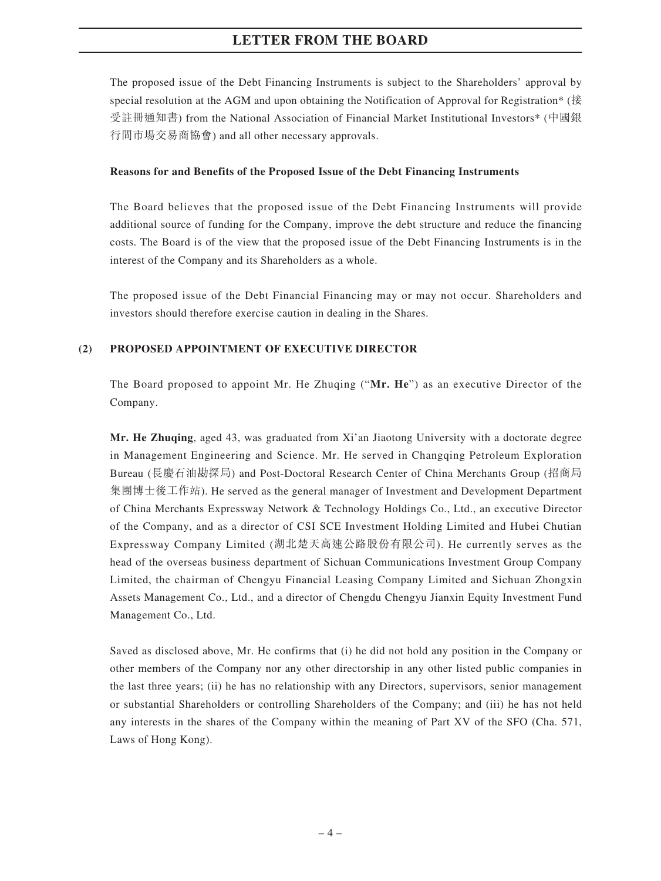The proposed issue of the Debt Financing Instruments is subject to the Shareholders' approval by special resolution at the AGM and upon obtaining the Notification of Approval for Registration\* (接 受註冊通知書) from the National Association of Financial Market Institutional Investors\* (中國銀 行間市場交易商協會) and all other necessary approvals.

#### **Reasons for and Benefits of the Proposed Issue of the Debt Financing Instruments**

The Board believes that the proposed issue of the Debt Financing Instruments will provide additional source of funding for the Company, improve the debt structure and reduce the financing costs. The Board is of the view that the proposed issue of the Debt Financing Instruments is in the interest of the Company and its Shareholders as a whole.

The proposed issue of the Debt Financial Financing may or may not occur. Shareholders and investors should therefore exercise caution in dealing in the Shares.

### **(2) PROPOSED APPOINTMENT OF EXECUTIVE DIRECTOR**

The Board proposed to appoint Mr. He Zhuqing ("**Mr. He**") as an executive Director of the Company.

**Mr. He Zhuqing**, aged 43, was graduated from Xi'an Jiaotong University with a doctorate degree in Management Engineering and Science. Mr. He served in Changqing Petroleum Exploration Bureau (長慶石油勘探局) and Post-Doctoral Research Center of China Merchants Group (招商局 集團博士後工作站). He served as the general manager of Investment and Development Department of China Merchants Expressway Network & Technology Holdings Co., Ltd., an executive Director of the Company, and as a director of CSI SCE Investment Holding Limited and Hubei Chutian Expressway Company Limited (湖北楚天高速公路股份有限公司). He currently serves as the head of the overseas business department of Sichuan Communications Investment Group Company Limited, the chairman of Chengyu Financial Leasing Company Limited and Sichuan Zhongxin Assets Management Co., Ltd., and a director of Chengdu Chengyu Jianxin Equity Investment Fund Management Co., Ltd.

Saved as disclosed above, Mr. He confirms that (i) he did not hold any position in the Company or other members of the Company nor any other directorship in any other listed public companies in the last three years; (ii) he has no relationship with any Directors, supervisors, senior management or substantial Shareholders or controlling Shareholders of the Company; and (iii) he has not held any interests in the shares of the Company within the meaning of Part XV of the SFO (Cha. 571, Laws of Hong Kong).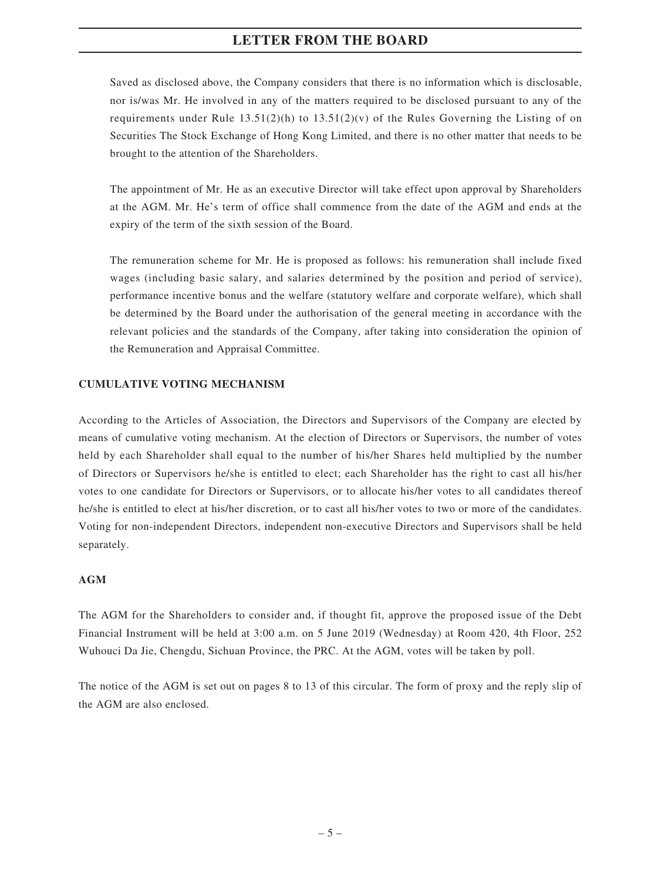Saved as disclosed above, the Company considers that there is no information which is disclosable, nor is/was Mr. He involved in any of the matters required to be disclosed pursuant to any of the requirements under Rule  $13.51(2)(h)$  to  $13.51(2)(v)$  of the Rules Governing the Listing of on Securities The Stock Exchange of Hong Kong Limited, and there is no other matter that needs to be brought to the attention of the Shareholders.

The appointment of Mr. He as an executive Director will take effect upon approval by Shareholders at the AGM. Mr. He's term of office shall commence from the date of the AGM and ends at the expiry of the term of the sixth session of the Board.

The remuneration scheme for Mr. He is proposed as follows: his remuneration shall include fixed wages (including basic salary, and salaries determined by the position and period of service), performance incentive bonus and the welfare (statutory welfare and corporate welfare), which shall be determined by the Board under the authorisation of the general meeting in accordance with the relevant policies and the standards of the Company, after taking into consideration the opinion of the Remuneration and Appraisal Committee.

### **CUMULATIVE VOTING MECHANISM**

According to the Articles of Association, the Directors and Supervisors of the Company are elected by means of cumulative voting mechanism. At the election of Directors or Supervisors, the number of votes held by each Shareholder shall equal to the number of his/her Shares held multiplied by the number of Directors or Supervisors he/she is entitled to elect; each Shareholder has the right to cast all his/her votes to one candidate for Directors or Supervisors, or to allocate his/her votes to all candidates thereof he/she is entitled to elect at his/her discretion, or to cast all his/her votes to two or more of the candidates. Voting for non-independent Directors, independent non-executive Directors and Supervisors shall be held separately.

#### **AGM**

The AGM for the Shareholders to consider and, if thought fit, approve the proposed issue of the Debt Financial Instrument will be held at 3:00 a.m. on 5 June 2019 (Wednesday) at Room 420, 4th Floor, 252 Wuhouci Da Jie, Chengdu, Sichuan Province, the PRC. At the AGM, votes will be taken by poll.

The notice of the AGM is set out on pages 8 to 13 of this circular. The form of proxy and the reply slip of the AGM are also enclosed.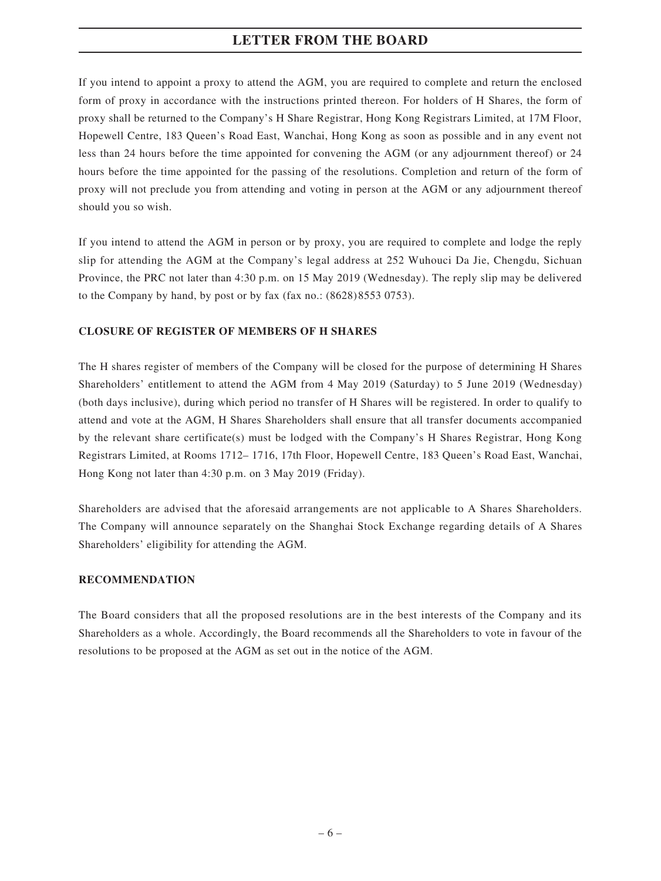If you intend to appoint a proxy to attend the AGM, you are required to complete and return the enclosed form of proxy in accordance with the instructions printed thereon. For holders of H Shares, the form of proxy shall be returned to the Company's H Share Registrar, Hong Kong Registrars Limited, at 17M Floor, Hopewell Centre, 183 Queen's Road East, Wanchai, Hong Kong as soon as possible and in any event not less than 24 hours before the time appointed for convening the AGM (or any adjournment thereof) or 24 hours before the time appointed for the passing of the resolutions. Completion and return of the form of proxy will not preclude you from attending and voting in person at the AGM or any adjournment thereof should you so wish.

If you intend to attend the AGM in person or by proxy, you are required to complete and lodge the reply slip for attending the AGM at the Company's legal address at 252 Wuhouci Da Jie, Chengdu, Sichuan Province, the PRC not later than 4:30 p.m. on 15 May 2019 (Wednesday). The reply slip may be delivered to the Company by hand, by post or by fax (fax no.: (8628) 8553 0753).

### **CLOSURE OF REGISTER OF MEMBERS OF H SHARES**

The H shares register of members of the Company will be closed for the purpose of determining H Shares Shareholders' entitlement to attend the AGM from 4 May 2019 (Saturday) to 5 June 2019 (Wednesday) (both days inclusive), during which period no transfer of H Shares will be registered. In order to qualify to attend and vote at the AGM, H Shares Shareholders shall ensure that all transfer documents accompanied by the relevant share certificate(s) must be lodged with the Company's H Shares Registrar, Hong Kong Registrars Limited, at Rooms 1712– 1716, 17th Floor, Hopewell Centre, 183 Queen's Road East, Wanchai, Hong Kong not later than 4:30 p.m. on 3 May 2019 (Friday).

Shareholders are advised that the aforesaid arrangements are not applicable to A Shares Shareholders. The Company will announce separately on the Shanghai Stock Exchange regarding details of A Shares Shareholders' eligibility for attending the AGM.

#### **RECOMMENDATION**

The Board considers that all the proposed resolutions are in the best interests of the Company and its Shareholders as a whole. Accordingly, the Board recommends all the Shareholders to vote in favour of the resolutions to be proposed at the AGM as set out in the notice of the AGM.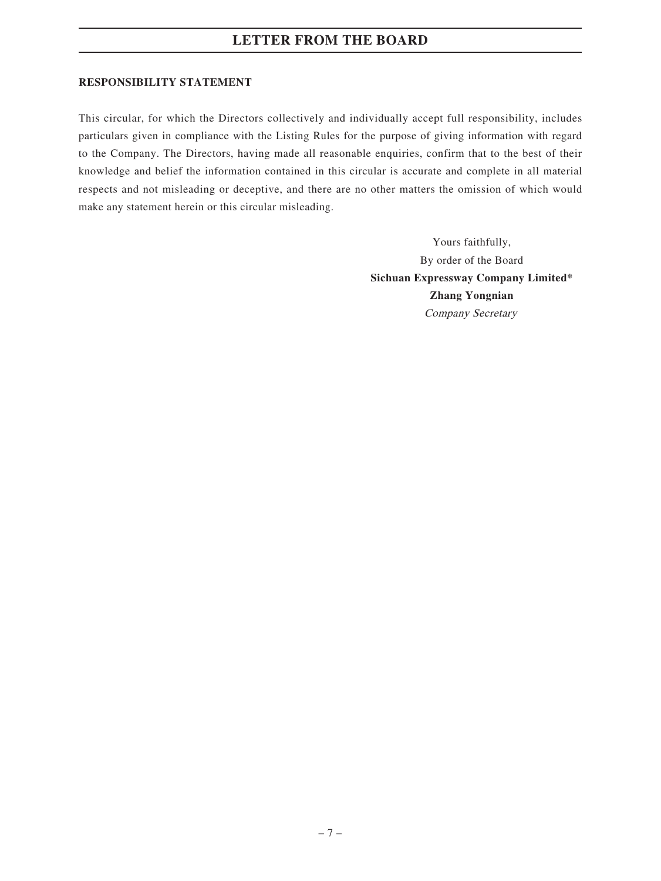#### **RESPONSIBILITY STATEMENT**

This circular, for which the Directors collectively and individually accept full responsibility, includes particulars given in compliance with the Listing Rules for the purpose of giving information with regard to the Company. The Directors, having made all reasonable enquiries, confirm that to the best of their knowledge and belief the information contained in this circular is accurate and complete in all material respects and not misleading or deceptive, and there are no other matters the omission of which would make any statement herein or this circular misleading.

> Yours faithfully, By order of the Board **Sichuan Expressway Company Limited\* Zhang Yongnian** Company Secretary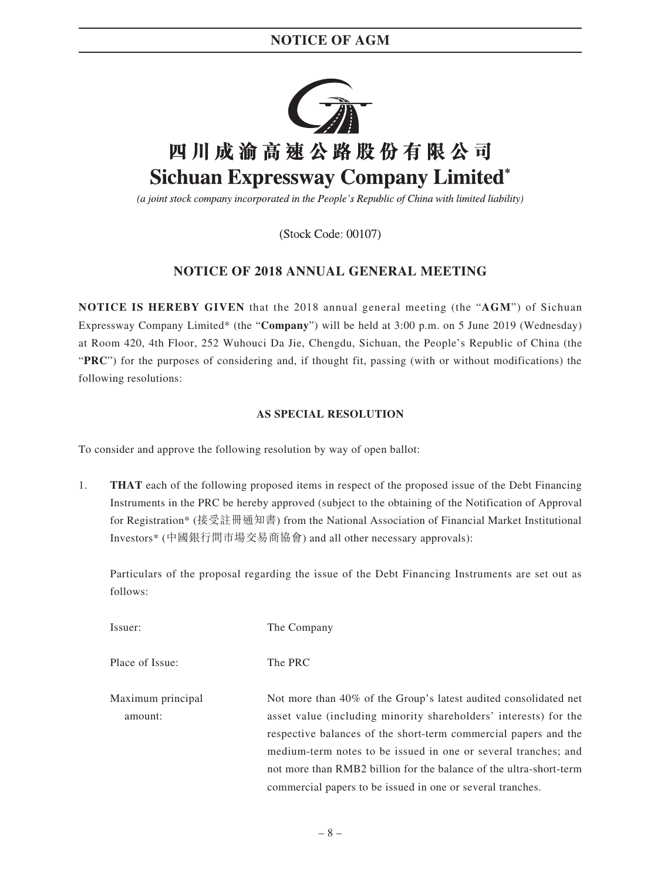

(a joint stock company incorporated in the People's Republic of China with limited liability)

(Stock Code: 00107)

### **NOTICE OF 2018 ANNUAL GENERAL MEETING**

**NOTICE IS HEREBY GIVEN** that the 2018 annual general meeting (the "**AGM**") of Sichuan Expressway Company Limited\* (the "**Company**") will be held at 3:00 p.m. on 5 June 2019 (Wednesday) at Room 420, 4th Floor, 252 Wuhouci Da Jie, Chengdu, Sichuan, the People's Republic of China (the "**PRC**") for the purposes of considering and, if thought fit, passing (with or without modifications) the following resolutions:

### **AS SPECIAL RESOLUTION**

To consider and approve the following resolution by way of open ballot:

1. **THAT** each of the following proposed items in respect of the proposed issue of the Debt Financing Instruments in the PRC be hereby approved (subject to the obtaining of the Notification of Approval for Registration\* (接受註冊通知書) from the National Association of Financial Market Institutional Investors\* (中國銀行間市場交易商協會) and all other necessary approvals):

Particulars of the proposal regarding the issue of the Debt Financing Instruments are set out as follows:

Issuer: The Company

Place of Issue: The PRC

Maximum principal amount: Not more than 40% of the Group's latest audited consolidated net asset value (including minority shareholders' interests) for the respective balances of the short-term commercial papers and the medium-term notes to be issued in one or several tranches; and not more than RMB2 billion for the balance of the ultra-short-term commercial papers to be issued in one or several tranches.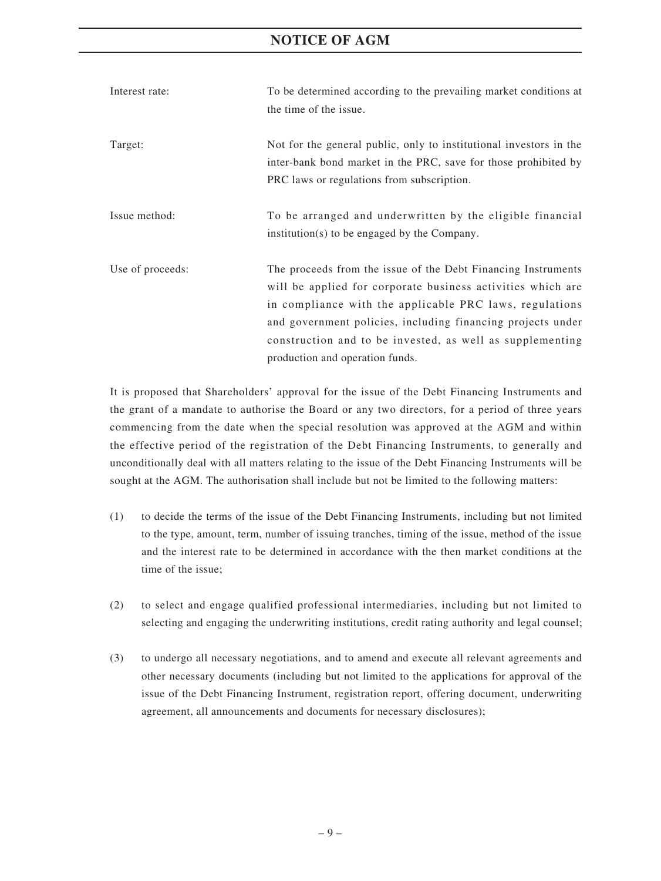### **NOTICE OF AGM**

| Interest rate:   | To be determined according to the prevailing market conditions at                                                                                                                                                                                                                                                                                      |
|------------------|--------------------------------------------------------------------------------------------------------------------------------------------------------------------------------------------------------------------------------------------------------------------------------------------------------------------------------------------------------|
|                  | the time of the issue.                                                                                                                                                                                                                                                                                                                                 |
| Target:          | Not for the general public, only to institutional investors in the<br>inter-bank bond market in the PRC, save for those prohibited by<br>PRC laws or regulations from subscription.                                                                                                                                                                    |
| Issue method:    | To be arranged and underwritten by the eligible financial<br>institution(s) to be engaged by the Company.                                                                                                                                                                                                                                              |
| Use of proceeds: | The proceeds from the issue of the Debt Financing Instruments<br>will be applied for corporate business activities which are<br>in compliance with the applicable PRC laws, regulations<br>and government policies, including financing projects under<br>construction and to be invested, as well as supplementing<br>production and operation funds. |

It is proposed that Shareholders' approval for the issue of the Debt Financing Instruments and the grant of a mandate to authorise the Board or any two directors, for a period of three years commencing from the date when the special resolution was approved at the AGM and within the effective period of the registration of the Debt Financing Instruments, to generally and unconditionally deal with all matters relating to the issue of the Debt Financing Instruments will be sought at the AGM. The authorisation shall include but not be limited to the following matters:

- (1) to decide the terms of the issue of the Debt Financing Instruments, including but not limited to the type, amount, term, number of issuing tranches, timing of the issue, method of the issue and the interest rate to be determined in accordance with the then market conditions at the time of the issue;
- (2) to select and engage qualified professional intermediaries, including but not limited to selecting and engaging the underwriting institutions, credit rating authority and legal counsel;
- (3) to undergo all necessary negotiations, and to amend and execute all relevant agreements and other necessary documents (including but not limited to the applications for approval of the issue of the Debt Financing Instrument, registration report, offering document, underwriting agreement, all announcements and documents for necessary disclosures);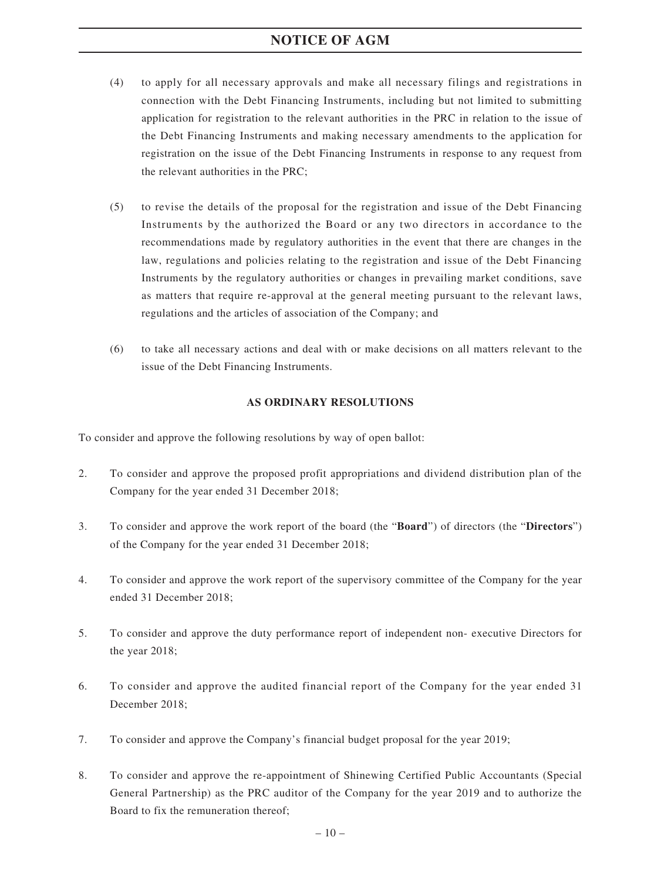### **NOTICE OF AGM**

- (4) to apply for all necessary approvals and make all necessary filings and registrations in connection with the Debt Financing Instruments, including but not limited to submitting application for registration to the relevant authorities in the PRC in relation to the issue of the Debt Financing Instruments and making necessary amendments to the application for registration on the issue of the Debt Financing Instruments in response to any request from the relevant authorities in the PRC;
- (5) to revise the details of the proposal for the registration and issue of the Debt Financing Instruments by the authorized the Board or any two directors in accordance to the recommendations made by regulatory authorities in the event that there are changes in the law, regulations and policies relating to the registration and issue of the Debt Financing Instruments by the regulatory authorities or changes in prevailing market conditions, save as matters that require re-approval at the general meeting pursuant to the relevant laws, regulations and the articles of association of the Company; and
- (6) to take all necessary actions and deal with or make decisions on all matters relevant to the issue of the Debt Financing Instruments.

#### **AS ORDINARY RESOLUTIONS**

To consider and approve the following resolutions by way of open ballot:

- 2. To consider and approve the proposed profit appropriations and dividend distribution plan of the Company for the year ended 31 December 2018;
- 3. To consider and approve the work report of the board (the "**Board**") of directors (the "**Directors**") of the Company for the year ended 31 December 2018;
- 4. To consider and approve the work report of the supervisory committee of the Company for the year ended 31 December 2018;
- 5. To consider and approve the duty performance report of independent non- executive Directors for the year 2018;
- 6. To consider and approve the audited financial report of the Company for the year ended 31 December 2018;
- 7. To consider and approve the Company's financial budget proposal for the year 2019;
- 8. To consider and approve the re-appointment of Shinewing Certified Public Accountants (Special General Partnership) as the PRC auditor of the Company for the year 2019 and to authorize the Board to fix the remuneration thereof;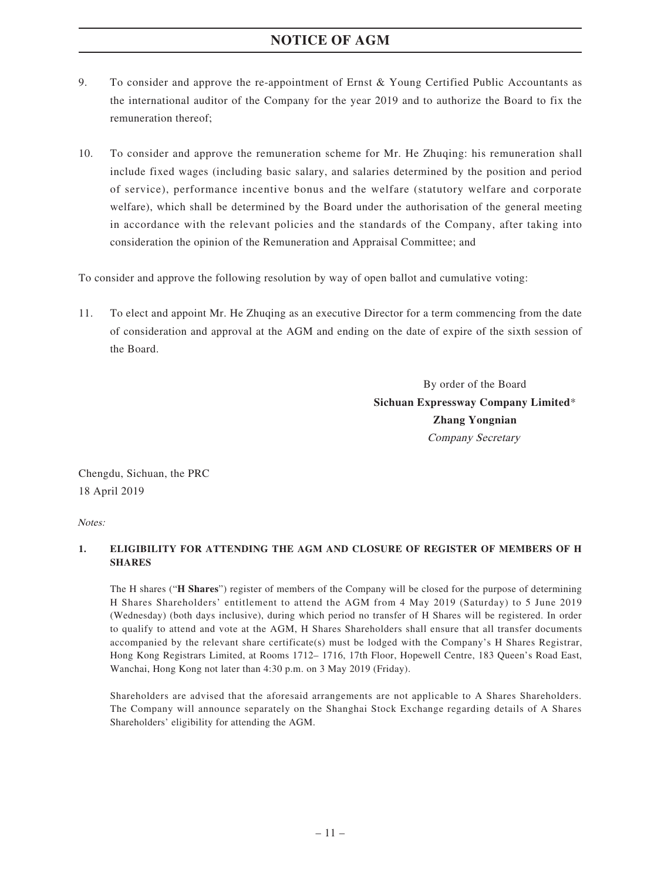### **NOTICE OF AGM**

- 9. To consider and approve the re-appointment of Ernst & Young Certified Public Accountants as the international auditor of the Company for the year 2019 and to authorize the Board to fix the remuneration thereof;
- 10. To consider and approve the remuneration scheme for Mr. He Zhuqing: his remuneration shall include fixed wages (including basic salary, and salaries determined by the position and period of service), performance incentive bonus and the welfare (statutory welfare and corporate welfare), which shall be determined by the Board under the authorisation of the general meeting in accordance with the relevant policies and the standards of the Company, after taking into consideration the opinion of the Remuneration and Appraisal Committee; and

To consider and approve the following resolution by way of open ballot and cumulative voting:

11. To elect and appoint Mr. He Zhuqing as an executive Director for a term commencing from the date of consideration and approval at the AGM and ending on the date of expire of the sixth session of the Board.

> By order of the Board **Sichuan Expressway Company Limited**\* **Zhang Yongnian** Company Secretary

Chengdu, Sichuan, the PRC 18 April 2019

Notes:

### **1. ELIGIBILITY FOR ATTENDING THE AGM AND CLOSURE OF REGISTER OF MEMBERS OF H SHARES**

The H shares ("**H Shares**") register of members of the Company will be closed for the purpose of determining H Shares Shareholders' entitlement to attend the AGM from 4 May 2019 (Saturday) to 5 June 2019 (Wednesday) (both days inclusive), during which period no transfer of H Shares will be registered. In order to qualify to attend and vote at the AGM, H Shares Shareholders shall ensure that all transfer documents accompanied by the relevant share certificate(s) must be lodged with the Company's H Shares Registrar, Hong Kong Registrars Limited, at Rooms 1712– 1716, 17th Floor, Hopewell Centre, 183 Queen's Road East, Wanchai, Hong Kong not later than 4:30 p.m. on 3 May 2019 (Friday).

Shareholders are advised that the aforesaid arrangements are not applicable to A Shares Shareholders. The Company will announce separately on the Shanghai Stock Exchange regarding details of A Shares Shareholders' eligibility for attending the AGM.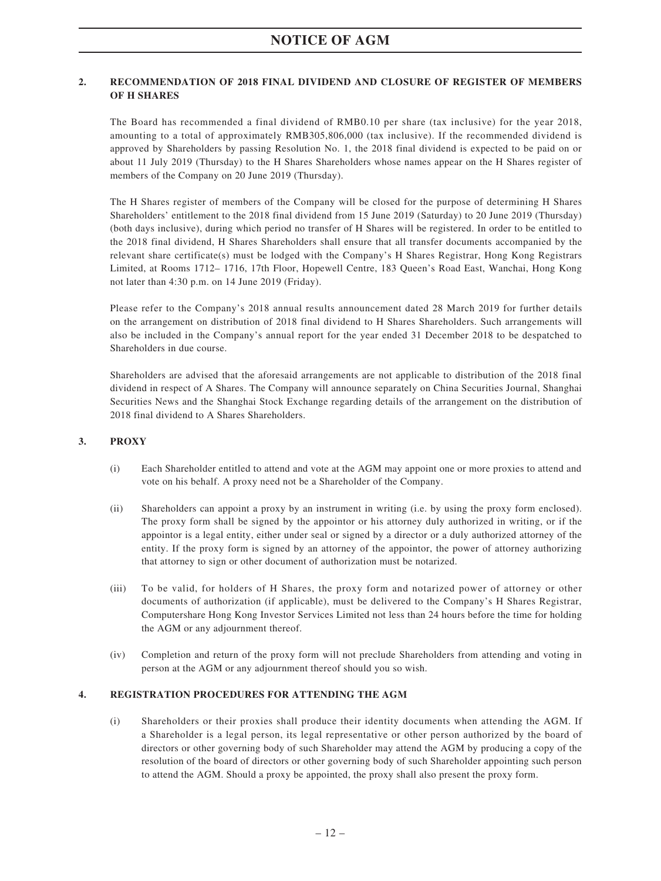#### **2. RECOMMENDATION OF 2018 FINAL DIVIDEND AND CLOSURE OF REGISTER OF MEMBERS OF H SHARES**

The Board has recommended a final dividend of RMB0.10 per share (tax inclusive) for the year 2018, amounting to a total of approximately RMB305,806,000 (tax inclusive). If the recommended dividend is approved by Shareholders by passing Resolution No. 1, the 2018 final dividend is expected to be paid on or about 11 July 2019 (Thursday) to the H Shares Shareholders whose names appear on the H Shares register of members of the Company on 20 June 2019 (Thursday).

The H Shares register of members of the Company will be closed for the purpose of determining H Shares Shareholders' entitlement to the 2018 final dividend from 15 June 2019 (Saturday) to 20 June 2019 (Thursday) (both days inclusive), during which period no transfer of H Shares will be registered. In order to be entitled to the 2018 final dividend, H Shares Shareholders shall ensure that all transfer documents accompanied by the relevant share certificate(s) must be lodged with the Company's H Shares Registrar, Hong Kong Registrars Limited, at Rooms 1712– 1716, 17th Floor, Hopewell Centre, 183 Queen's Road East, Wanchai, Hong Kong not later than 4:30 p.m. on 14 June 2019 (Friday).

Please refer to the Company's 2018 annual results announcement dated 28 March 2019 for further details on the arrangement on distribution of 2018 final dividend to H Shares Shareholders. Such arrangements will also be included in the Company's annual report for the year ended 31 December 2018 to be despatched to Shareholders in due course.

Shareholders are advised that the aforesaid arrangements are not applicable to distribution of the 2018 final dividend in respect of A Shares. The Company will announce separately on China Securities Journal, Shanghai Securities News and the Shanghai Stock Exchange regarding details of the arrangement on the distribution of 2018 final dividend to A Shares Shareholders.

#### **3. PROXY**

- (i) Each Shareholder entitled to attend and vote at the AGM may appoint one or more proxies to attend and vote on his behalf. A proxy need not be a Shareholder of the Company.
- (ii) Shareholders can appoint a proxy by an instrument in writing (i.e. by using the proxy form enclosed). The proxy form shall be signed by the appointor or his attorney duly authorized in writing, or if the appointor is a legal entity, either under seal or signed by a director or a duly authorized attorney of the entity. If the proxy form is signed by an attorney of the appointor, the power of attorney authorizing that attorney to sign or other document of authorization must be notarized.
- (iii) To be valid, for holders of H Shares, the proxy form and notarized power of attorney or other documents of authorization (if applicable), must be delivered to the Company's H Shares Registrar, Computershare Hong Kong Investor Services Limited not less than 24 hours before the time for holding the AGM or any adjournment thereof.
- (iv) Completion and return of the proxy form will not preclude Shareholders from attending and voting in person at the AGM or any adjournment thereof should you so wish.

### **4. REGISTRATION PROCEDURES FOR ATTENDING THE AGM**

(i) Shareholders or their proxies shall produce their identity documents when attending the AGM. If a Shareholder is a legal person, its legal representative or other person authorized by the board of directors or other governing body of such Shareholder may attend the AGM by producing a copy of the resolution of the board of directors or other governing body of such Shareholder appointing such person to attend the AGM. Should a proxy be appointed, the proxy shall also present the proxy form.